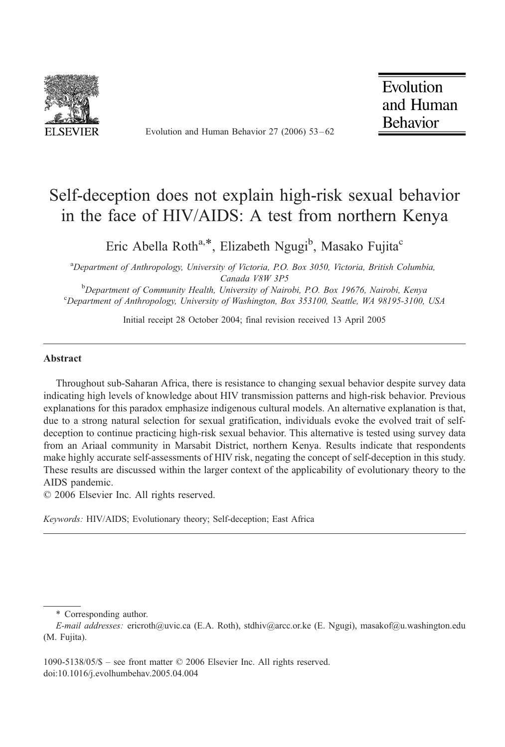

Evolution and Human Behavior 27 (2006) 53 – 62

Evolution and Human **Behavior** 

## Self-deception does not explain high-risk sexual behavior in the face of HIV/AIDS: A test from northern Kenya

Eric Abella Roth<sup>a,\*</sup>, Elizabeth Ngugi<sup>b</sup>, Masako Fujita<sup>c</sup>

<sup>a</sup>Department of Anthropology, University of Victoria, P.O. Box 3050, Victoria, British Columbia, Canada V8W 3P5<br>Penartment of Community Hoalth, University of Nair

 $^{6}$ Department of Community Health, University of Nairobi, P.O. Box 19676, Nairobi, Kenya characteristy of Washington, Box 353100, Seattle, WA 08105 3100 <sup>c</sup>Department of Anthropology, University of Washington, Box 353100, Seattle, WA 98195-3100, USA

Initial receipt 28 October 2004; final revision received 13 April 2005

#### Abstract

Throughout sub-Saharan Africa, there is resistance to changing sexual behavior despite survey data indicating high levels of knowledge about HIV transmission patterns and high-risk behavior. Previous explanations for this paradox emphasize indigenous cultural models. An alternative explanation is that, due to a strong natural selection for sexual gratification, individuals evoke the evolved trait of selfdeception to continue practicing high-risk sexual behavior. This alternative is tested using survey data from an Ariaal community in Marsabit District, northern Kenya. Results indicate that respondents make highly accurate self-assessments of HIV risk, negating the concept of self-deception in this study. These results are discussed within the larger context of the applicability of evolutionary theory to the AIDS pandemic.

 $© 2006 Elsevier Inc. All rights reserved.$ 

Keywords: HIV/AIDS; Evolutionary theory; Self-deception; East Africa

1090-5138/05/\$ – see front matter  $\odot$  2006 Elsevier Inc. All rights reserved. doi:10.1016/j.evolhumbehav.2005.04.004

<sup>\*</sup> Corresponding author.

E-mail addresses: ericroth@uvic.ca (E.A. Roth), stdhiv@arcc.or.ke (E. Ngugi), masakof@u.washington.edu (M. Fujita).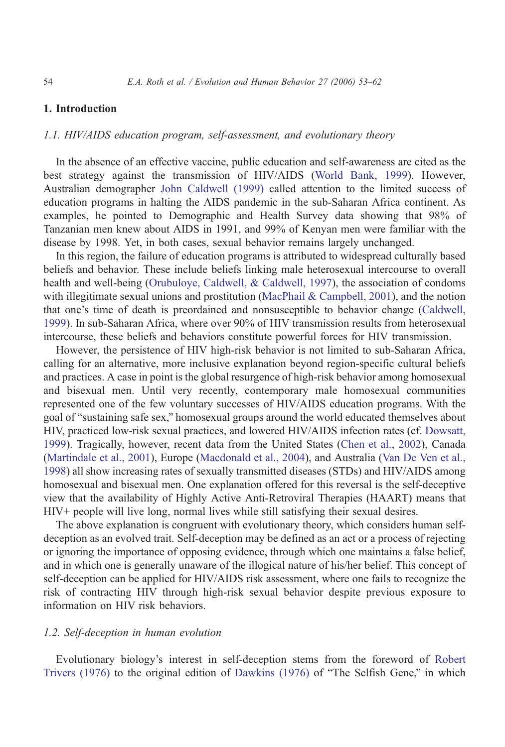### 1. Introduction

### 1.1. HIV/AIDS education program, self-assessment, and evolutionary theory

In the absence of an effective vaccine, public education and self-awareness are cited as the best strategy against the transmission of HIV/AIDS [\(World Bank, 1999](#page--1-0)). However, Australian demographer [John Caldwell \(1999](#page--1-0)) called attention to the limited success of education programs in halting the AIDS pandemic in the sub-Saharan Africa continent. As examples, he pointed to Demographic and Health Survey data showing that 98% of Tanzanian men knew about AIDS in 1991, and 99% of Kenyan men were familiar with the disease by 1998. Yet, in both cases, sexual behavior remains largely unchanged.

In this region, the failure of education programs is attributed to widespread culturally based beliefs and behavior. These include beliefs linking male heterosexual intercourse to overall health and well-being [\(Orubuloye, Caldwell, & Caldwell, 1997](#page--1-0)), the association of condoms with illegitimate sexual unions and prostitution [\(MacPhail & Campbell, 2001](#page--1-0)), and the notion that one's time of death is preordained and nonsusceptible to behavior change [\(Caldwell](#page--1-0), 1999). In sub-Saharan Africa, where over 90% of HIV transmission results from heterosexual intercourse, these beliefs and behaviors constitute powerful forces for HIV transmission.

However, the persistence of HIV high-risk behavior is not limited to sub-Saharan Africa, calling for an alternative, more inclusive explanation beyond region-specific cultural beliefs and practices. A case in point is the global resurgence of high-risk behavior among homosexual and bisexual men. Until very recently, contemporary male homosexual communities represented one of the few voluntary successes of HIV/AIDS education programs. With the goal of "sustaining safe sex," homosexual groups around the world educated themselves about HIV, practiced low-risk sexual practices, and lowered HIV/AIDS infection rates (cf. [Dowsatt](#page--1-0), 1999). Tragically, however, recent data from the United States [\(Chen et al., 2002](#page--1-0)), Canada [\(Martindale et al., 2001](#page--1-0)), Europe [\(Macdonald et al., 2004](#page--1-0)), and Australia [\(Van De Ven et al.](#page--1-0), 1998) all show increasing rates of sexually transmitted diseases (STDs) and HIV/AIDS among homosexual and bisexual men. One explanation offered for this reversal is the self-deceptive view that the availability of Highly Active Anti-Retroviral Therapies (HAART) means that HIV+ people will live long, normal lives while still satisfying their sexual desires.

The above explanation is congruent with evolutionary theory, which considers human selfdeception as an evolved trait. Self-deception may be defined as an act or a process of rejecting or ignoring the importance of opposing evidence, through which one maintains a false belief, and in which one is generally unaware of the illogical nature of his/her belief. This concept of self-deception can be applied for HIV/AIDS risk assessment, where one fails to recognize the risk of contracting HIV through high-risk sexual behavior despite previous exposure to information on HIV risk behaviors.

#### 1.2. Self-deception in human evolution

Evolutionary biology's interest in self-deception stems from the foreword of [Rober](#page--1-0)t Trivers  $(1976)$  to the original edition of Dawkins  $(1976)$  of "The Selfish Gene," in which